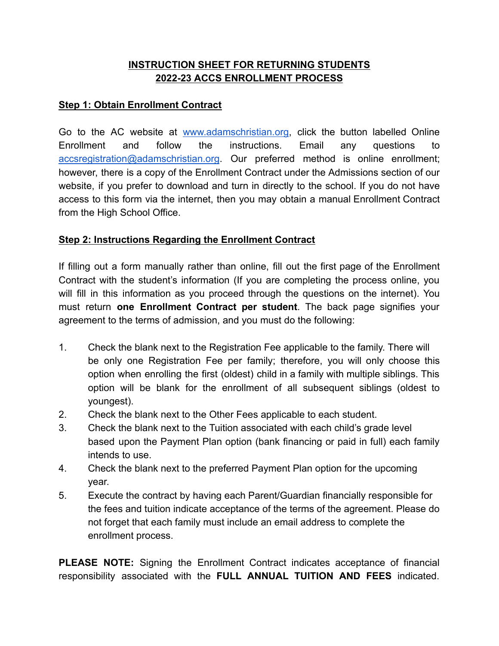# **INSTRUCTION SHEET FOR RETURNING STUDENTS 2022-23 ACCS ENROLLMENT PROCESS**

# **Step 1: Obtain Enrollment Contract**

Go to the AC website at [www.adamschristian.org,](http://www.adamschristian.org/) click the button labelled Online Enrollment and follow the instructions. Email any questions to [accsregistration@adamschristian.org](mailto:accsregistration@adamschristian.org). Our preferred method is online enrollment; however, there is a copy of the Enrollment Contract under the Admissions section of our website, if you prefer to download and turn in directly to the school. If you do not have access to this form via the internet, then you may obtain a manual Enrollment Contract from the High School Office.

### **Step 2: Instructions Regarding the Enrollment Contract**

If filling out a form manually rather than online, fill out the first page of the Enrollment Contract with the student's information (If you are completing the process online, you will fill in this information as you proceed through the questions on the internet). You must return **one Enrollment Contract per student**. The back page signifies your agreement to the terms of admission, and you must do the following:

- 1. Check the blank next to the Registration Fee applicable to the family. There will be only one Registration Fee per family; therefore, you will only choose this option when enrolling the first (oldest) child in a family with multiple siblings. This option will be blank for the enrollment of all subsequent siblings (oldest to youngest).
- 2. Check the blank next to the Other Fees applicable to each student.
- 3. Check the blank next to the Tuition associated with each child's grade level based upon the Payment Plan option (bank financing or paid in full) each family intends to use.
- 4. Check the blank next to the preferred Payment Plan option for the upcoming year.
- 5. Execute the contract by having each Parent/Guardian financially responsible for the fees and tuition indicate acceptance of the terms of the agreement. Please do not forget that each family must include an email address to complete the enrollment process.

**PLEASE NOTE:** Signing the Enrollment Contract indicates acceptance of financial responsibility associated with the **FULL ANNUAL TUITION AND FEES** indicated.